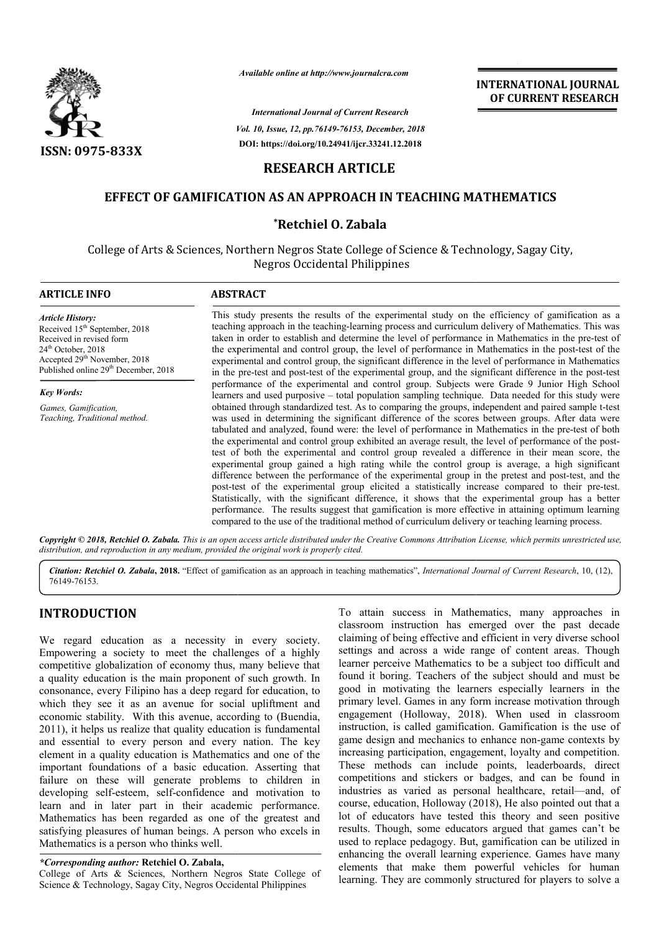

*Available online at http://www.journalcra.com*

*Vol. 10, Issue, 12, pp. pp.76149-76153, December, 2018 International Journal of Current Research* **DOI: https://doi.org/10.24941/ijcr.33241.12.2018**

# **INTERNATIONAL JOURNAL OF CURRENT RESEARCH**

# **RESEARCH ARTICLE**

## **EFFECT OF GAMIFICATION AS AN APPROACH IN TEACHING MATHEMATICS TEACHING MATHEMATICS**

## **\*Retchiel O. Zabala**

College of Arts & Sciences, Northern Negros State College of Science & Technology, Sagay City, Negros Occidental Philippines

| <b>ARTICLE INFO</b>                                                                                                                                                                                                      | <b>ABSTRACT</b>                                                                                                                                                                                                                                                                                                                                                                                                                                                                                                                                                                                                                                                                                                                                                                                                                                                                                                                                                                                                                                                                                                                                          |
|--------------------------------------------------------------------------------------------------------------------------------------------------------------------------------------------------------------------------|----------------------------------------------------------------------------------------------------------------------------------------------------------------------------------------------------------------------------------------------------------------------------------------------------------------------------------------------------------------------------------------------------------------------------------------------------------------------------------------------------------------------------------------------------------------------------------------------------------------------------------------------------------------------------------------------------------------------------------------------------------------------------------------------------------------------------------------------------------------------------------------------------------------------------------------------------------------------------------------------------------------------------------------------------------------------------------------------------------------------------------------------------------|
| <b>Article History:</b><br>Received 15 <sup>th</sup> September, 2018<br>Received in revised form<br>$24th$ October, 2018<br>Accepted 29 <sup>th</sup> November, 2018<br>Published online 29 <sup>th</sup> December, 2018 | This study presents the results of the experimental study on the efficiency of gamification as a<br>teaching approach in the teaching-learning process and curriculum delivery of Mathematics. This was<br>taken in order to establish and determine the level of performance in Mathematics in the pre-test of<br>the experimental and control group, the level of performance in Mathematics in the post-test of the<br>experimental and control group, the significant difference in the level of performance in Mathematics<br>in the pre-test and post-test of the experimental group, and the significant difference in the post-test                                                                                                                                                                                                                                                                                                                                                                                                                                                                                                              |
| <b>Key Words:</b>                                                                                                                                                                                                        | performance of the experimental and control group. Subjects were Grade 9 Junior High School<br>learners and used purposive - total population sampling technique. Data needed for this study were                                                                                                                                                                                                                                                                                                                                                                                                                                                                                                                                                                                                                                                                                                                                                                                                                                                                                                                                                        |
| Games, Gamification,<br>Teaching, Traditional method.                                                                                                                                                                    | obtained through standardized test. As to comparing the groups, independent and paired sample t-test<br>was used in determining the significant difference of the scores between groups. After data were<br>tabulated and analyzed, found were: the level of performance in Mathematics in the pre-test of both<br>the experimental and control group exhibited an average result, the level of performance of the post-<br>test of both the experimental and control group revealed a difference in their mean score, the<br>experimental group gained a high rating while the control group is average, a high significant<br>difference between the performance of the experimental group in the pretest and post-test, and the<br>post-test of the experimental group elicited a statistically increase compared to their pre-test.<br>Statistically, with the significant difference, it shows that the experimental group has a better<br>performance. The results suggest that gamification is more effective in attaining optimum learning<br>compared to the use of the traditional method of curriculum delivery or teaching learning process. |

Copyright © 2018, Retchiel O. Zabala. This is an open access article distributed under the Creative Commons Attribution License, which permits unrestricted use, *distribution, and reproduction in any medium, provided the original work is properly cited.*

Citation: Retchiel O. Zabala, 2018. "Effect of gamification as an approach in teaching mathematics", *International Journal of Current Research*, 10, (12), 76149-76153.

# **INTRODUCTION**

We regard education as a necessity in every society. Empowering a society to meet the challenges of a highly competitive globalization of economy thus, many believe that a quality education is the main proponent of such growth. In consonance, every Filipino has a deep regard for education, to which they see it as an avenue for social upliftment and economic stability. With this avenue, according to (Buendia, 2011), it helps us realize that quality education is fundamental and essential to every person and every nation. The key element in a quality education is Mathematics and one of the important foundations of a basic education. Asserting that failure on these will generate problems to children in developing self-esteem, self-confidence and motivation to element in a quality education is Mathematics and one of the important foundations of a basic education. Asserting that failure on these will generate problems to children in developing self-esteem, self-confidence and mot Mathematics has been regarded as one of the greatest and satisfying pleasures of human beings. A person who excels in Mathematics is a person who thinks well.

### *\*Corresponding author:* **Retchiel O. Zabala,**

College of Arts & Sciences, Northern Negros State College of Science & Technology, Sagay City, Negros Occidental Philippines

To attain success in Mathematics, many approaches in classroom instruction has emerged over the past decade To attain success in Mathematics, many approaches in classroom instruction has emerged over the past decade claiming of being effective and efficient in very diverse school settings and across a wide range of content areas. Though learner perceive Mathematics to be a subject too difficult and found it boring. Teachers of the subject should and must be good in motivating the learners especially learners in the primary level. Games in any form increase motivation through settings and across a wide range of content areas. Though learner perceive Mathematics to be a subject too difficult and found it boring. Teachers of the subject should and must be good in motivating the learners especiall instruction, is called gamification. Gamification is the use of game design and mechanics to enhance non-game contexts by increasing participation, engagement, loyalty and competition. These methods can include points, leaderboards, direct competitions and stickers or badges, and can be found in industries as varied as personal healthcare, retail-and, of course, education, Holloway (2018), He also pointed out that a lot of educators have tested this theory and seen positive results. Though, some educators argued that games can't be used to replace pedagogy. But, gamification can be utilized in enhancing the overall learning experience. Games have many elements that make them powerful vehicles for human learning. They are commonly structured for players to solve a ng participation, engagement, loyalty and competition.<br>methods can include points, leaderboards, direct<br>tions and stickers or badges, and can be found in<br>es as varied as personal healthcare, retail—and, of f educators have tested this theory and seen positive is. Though, some educators argued that games can't be to replace pedagogy. But, gamification can be utilized in neing the overall learning experience. Games have many INTERNATIONAL JOURNAL<br>
FIRENCIST CONDUCT TRESE CONTREMENT (CONDITIONAL STRASS (S5.1,00)<br>
1976-2024113.2.2018<br> **ACH IN TEACHING MATHEMATICS**<br> **ACH IN TEACHING MATHEMATICS**<br> **ACH IN TEACHING MATHEMATICS**<br> **ACH IN TEACHING MA**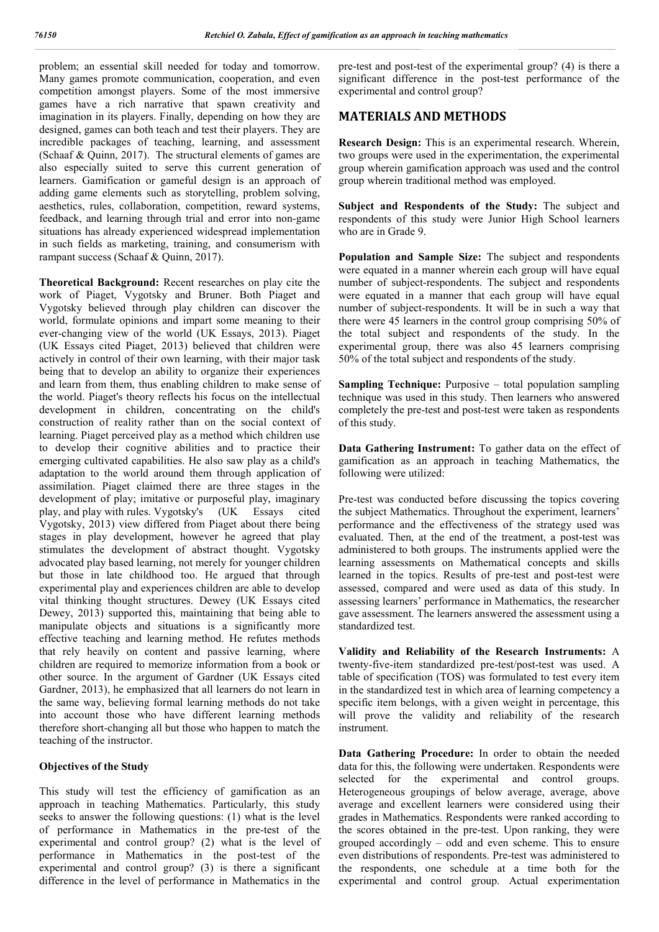problem; an essential skill needed for today and tomorrow. Many games promote communication, cooperation, and even competition amongst players. Some of the most immersive games have a rich narrative that spawn creativity and imagination in its players. Finally, depending on how they are designed, games can both teach and test their players. They are incredible packages of teaching, learning, and assessment (Schaaf & Quinn, 2017). The structural elements of games are also especially suited to serve this current generation of learners. Gamification or gameful design is an approach of adding game elements such as storytelling, problem solving, aesthetics, rules, collaboration, competition, reward systems, feedback, and learning through trial and error into non-game situations has already experienced widespread implementation in such fields as marketing, training, and consumerism with rampant success (Schaaf & Quinn, 2017).

**Theoretical Background:** Recent researches on play cite the work of Piaget, Vygotsky and Bruner. Both Piaget and Vygotsky believed through play children can discover the world, formulate opinions and impart some meaning to their ever-changing view of the world (UK Essays, 2013). Piaget (UK Essays cited Piaget, 2013) believed that children were actively in control of their own learning, with their major task being that to develop an ability to organize their experiences and learn from them, thus enabling children to make sense of the world. Piaget's theory reflects his focus on the intellectual development in children, concentrating on the child's construction of reality rather than on the social context of learning. Piaget perceived play as a method which children use to develop their cognitive abilities and to practice their emerging cultivated capabilities. He also saw play as a child's adaptation to the world around them through application of assimilation. Piaget claimed there are three stages in the development of play; imitative or purposeful play, imaginary play, and play with rules. Vygotsky's (UK Essays cited Vygotsky, 2013) view differed from Piaget about there being stages in play development, however he agreed that play stimulates the development of abstract thought. Vygotsky advocated play based learning, not merely for younger children but those in late childhood too. He argued that through experimental play and experiences children are able to develop vital thinking thought structures. Dewey (UK Essays cited Dewey, 2013) supported this, maintaining that being able to manipulate objects and situations is a significantly more effective teaching and learning method. He refutes methods that rely heavily on content and passive learning, where children are required to memorize information from a book or other source. In the argument of Gardner (UK Essays cited Gardner, 2013), he emphasized that all learners do not learn in the same way, believing formal learning methods do not take into account those who have different learning methods therefore short-changing all but those who happen to match the teaching of the instructor.

### **Objectives of the Study**

This study will test the efficiency of gamification as an approach in teaching Mathematics. Particularly, this study seeks to answer the following questions: (1) what is the level of performance in Mathematics in the pre-test of the experimental and control group? (2) what is the level of performance in Mathematics in the post-test of the experimental and control group? (3) is there a significant difference in the level of performance in Mathematics in the

pre-test and post-test of the experimental group? (4) is there a significant difference in the post-test performance of the experimental and control group?

## **MATERIALS AND METHODS**

**Research Design:** This is an experimental research. Wherein, two groups were used in the experimentation, the experimental group wherein gamification approach was used and the control group wherein traditional method was employed.

Subject and Respondents of the Study: The subject and respondents of this study were Junior High School learners who are in Grade 9.

**Population and Sample Size:** The subject and respondents were equated in a manner wherein each group will have equal number of subject-respondents. The subject and respondents were equated in a manner that each group will have equal number of subject-respondents. It will be in such a way that there were 45 learners in the control group comprising 50% of the total subject and respondents of the study. In the experimental group, there was also 45 learners comprising 50% of the total subject and respondents of the study.

**Sampling Technique:** Purposive – total population sampling technique was used in this study. Then learners who answered completely the pre-test and post-test were taken as respondents of this study.

**Data Gathering Instrument:** To gather data on the effect of gamification as an approach in teaching Mathematics, the following were utilized:

Pre-test was conducted before discussing the topics covering the subject Mathematics. Throughout the experiment, learners' performance and the effectiveness of the strategy used was evaluated. Then, at the end of the treatment, a post-test was administered to both groups. The instruments applied were the learning assessments on Mathematical concepts and skills learned in the topics. Results of pre-test and post-test were assessed, compared and were used as data of this study. In assessing learners' performance in Mathematics, the researcher gave assessment. The learners answered the assessment using a standardized test.

**Validity and Reliability of the Research Instruments:** A twenty-five-item standardized pre-test/post-test was used. A table of specification (TOS) was formulated to test every item in the standardized test in which area of learning competency a specific item belongs, with a given weight in percentage, this will prove the validity and reliability of the research instrument.

**Data Gathering Procedure:** In order to obtain the needed data for this, the following were undertaken. Respondents were selected for the experimental and control groups. Heterogeneous groupings of below average, average, above average and excellent learners were considered using their grades in Mathematics. Respondents were ranked according to the scores obtained in the pre-test. Upon ranking, they were grouped accordingly – odd and even scheme. This to ensure even distributions of respondents. Pre-test was administered to the respondents, one schedule at a time both for the experimental and control group. Actual experimentation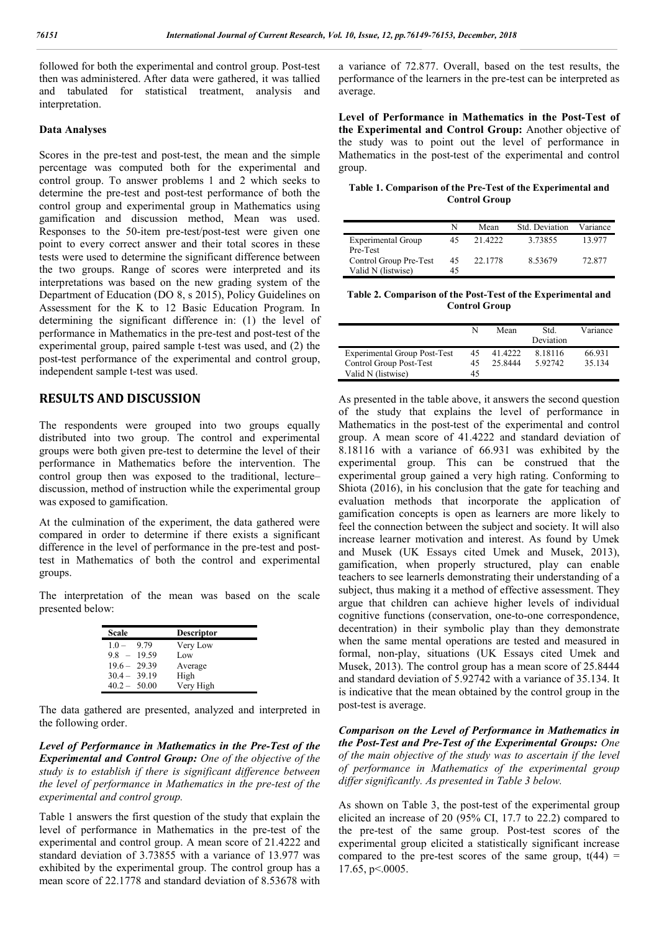followed for both the experimental and control group. Post-test then was administered. After data were gathered, it was tallied and tabulated for statistical treatment, analysis and interpretation.

#### **Data Analyses**

Scores in the pre-test and post-test, the mean and the simple percentage was computed both for the experimental and control group. To answer problems 1 and 2 which seeks to determine the pre-test and post-test performance of both the control group and experimental group in Mathematics using gamification and discussion method, Mean was used. Responses to the 50-item pre-test/post-test were given one point to every correct answer and their total scores in these tests were used to determine the significant difference between the two groups. Range of scores were interpreted and its interpretations was based on the new grading system of the Department of Education (DO 8, s 2015), Policy Guidelines on Assessment for the K to 12 Basic Education Program. In determining the significant difference in: (1) the level of performance in Mathematics in the pre-test and post-test of the experimental group, paired sample t-test was used, and (2) the post-test performance of the experimental and control group, independent sample t-test was used.

## **RESULTS AND DISCUSSION**

The respondents were grouped into two groups equally distributed into two group. The control and experimental groups were both given pre-test to determine the level of their performance in Mathematics before the intervention. The control group then was exposed to the traditional, lecture– discussion, method of instruction while the experimental group was exposed to gamification.

At the culmination of the experiment, the data gathered were compared in order to determine if there exists a significant difference in the level of performance in the pre-test and posttest in Mathematics of both the control and experimental groups.

The interpretation of the mean was based on the scale presented below:

| Scale           | <b>Descriptor</b> |
|-----------------|-------------------|
| 9.79<br>$1.0 -$ | Very Low          |
| $9.8 - 19.59$   | Low               |
| $19.6 - 29.39$  | Average           |
| $30.4 - 39.19$  | High              |
| $40.2 - 50.00$  | Very High         |

The data gathered are presented, analyzed and interpreted in the following order.

*Level of Performance in Mathematics in the Pre-Test of the Experimental and Control Group: One of the objective of the study is to establish if there is significant difference between the level of performance in Mathematics in the pre-test of the experimental and control group.*

Table 1 answers the first question of the study that explain the level of performance in Mathematics in the pre-test of the experimental and control group. A mean score of 21.4222 and standard deviation of 3.73855 with a variance of 13.977 was exhibited by the experimental group. The control group has a mean score of 22.1778 and standard deviation of 8.53678 with

a variance of 72.877. Overall, based on the test results, the performance of the learners in the pre-test can be interpreted as average.

**Level of Performance in Mathematics in the Post-Test of the Experimental and Control Group:** Another objective of the study was to point out the level of performance in Mathematics in the post-test of the experimental and control group.

**Table 1. Comparison of the Pre-Test of the Experimental and Control Group**

|                                              | N        | Mean    | Std. Deviation | Variance |
|----------------------------------------------|----------|---------|----------------|----------|
| Experimental Group<br>Pre-Test               |          | 21.4222 | 3.73855        | 13.977   |
| Control Group Pre-Test<br>Valid N (listwise) | 45<br>45 | 22.1778 | 8.53679        | 72.877   |

**Table 2. Comparison of the Post-Test of the Experimental and Control Group**

|                                     | N  | Mean    | Std.<br>Deviation | Variance |
|-------------------------------------|----|---------|-------------------|----------|
| <b>Experimental Group Post-Test</b> | 45 | 41.4222 | 8.18116           | 66.931   |
| Control Group Post-Test             | 45 | 25.8444 | 5.92.742          | 35.134   |
| Valid N (listwise)                  | 45 |         |                   |          |

As presented in the table above, it answers the second question of the study that explains the level of performance in Mathematics in the post-test of the experimental and control group. A mean score of 41.4222 and standard deviation of 8.18116 with a variance of 66.931 was exhibited by the experimental group. This can be construed that the experimental group gained a very high rating. Conforming to Shiota (2016), in his conclusion that the gate for teaching and evaluation methods that incorporate the application of gamification concepts is open as learners are more likely to feel the connection between the subject and society. It will also increase learner motivation and interest. As found by Umek and Musek (UK Essays cited Umek and Musek, 2013), gamification, when properly structured, play can enable teachers to see learnerls demonstrating their understanding of a subject, thus making it a method of effective assessment. They argue that children can achieve higher levels of individual cognitive functions (conservation, one-to-one correspondence, decentration) in their symbolic play than they demonstrate when the same mental operations are tested and measured in formal, non-play, situations (UK Essays cited Umek and Musek, 2013). The control group has a mean score of 25.8444 and standard deviation of 5.92742 with a variance of 35.134. It is indicative that the mean obtained by the control group in the post-test is average.

*Comparison on the Level of Performance in Mathematics in the Post-Test and Pre-Test of the Experimental Groups: One of the main objective of the study was to ascertain if the level of performance in Mathematics of the experimental group differ significantly. As presented in Table 3 below.*

As shown on Table 3, the post-test of the experimental group elicited an increase of 20 (95% CI, 17.7 to 22.2) compared to the pre-test of the same group. Post-test scores of the experimental group elicited a statistically significant increase compared to the pre-test scores of the same group,  $t(44)$  = 17.65, p<.0005.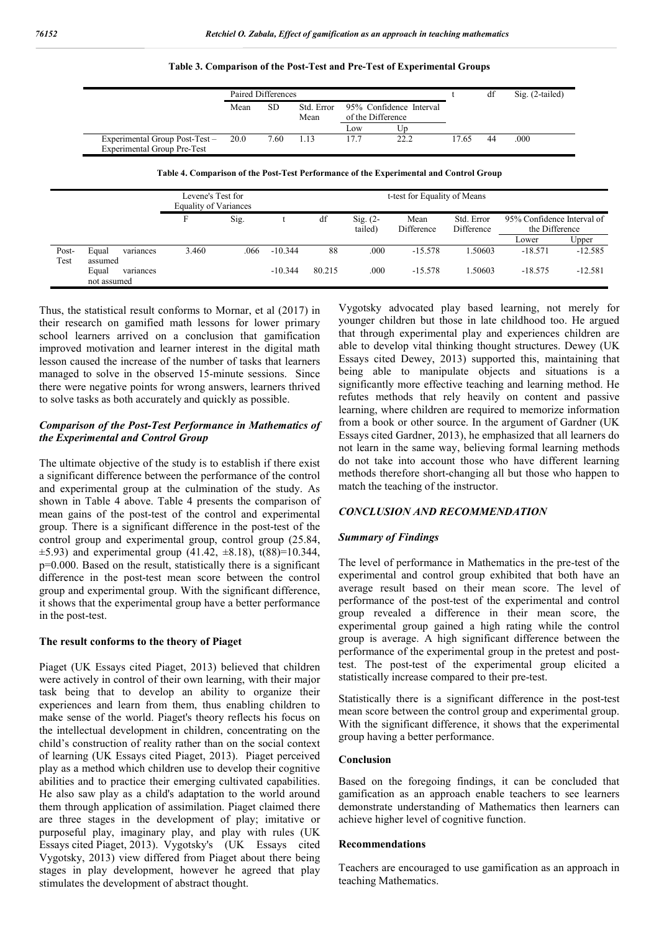| Table 3. Comparison of the Post-Test and Pre-Test of Experimental Groups |  |
|--------------------------------------------------------------------------|--|
|--------------------------------------------------------------------------|--|

|                                    | Paired Differences |           |                    |                                              |      |       | df | Sig. (2-tailed) |
|------------------------------------|--------------------|-----------|--------------------|----------------------------------------------|------|-------|----|-----------------|
|                                    | Mean               | <b>SD</b> | Std. Error<br>Mean | 95% Confidence Interval<br>of the Difference |      |       |    |                 |
|                                    |                    |           |                    | LOW                                          | Up   |       |    |                 |
| Experimental Group Post-Test –     | 20.0               | 7.60      | 1.13               | 17.7                                         | 22.2 | 17.65 | 44 | .000            |
| <b>Experimental Group Pre-Test</b> |                    |           |                    |                                              |      |       |    |                 |

**Table 4. Comparison of the Post-Test Performance of the Experimental and Control Group**

|               |                                   | Levene's Test for<br><b>Equality of Variances</b> |      |           |        | t-test for Equality of Means |                    |                          |                                              |           |
|---------------|-----------------------------------|---------------------------------------------------|------|-----------|--------|------------------------------|--------------------|--------------------------|----------------------------------------------|-----------|
|               |                                   | F                                                 | Sig. |           | df     | $Sig. (2-$<br>tailed)        | Mean<br>Difference | Std. Error<br>Difference | 95% Confidence Interval of<br>the Difference |           |
|               |                                   |                                                   |      |           |        |                              |                    |                          | Lower                                        | Upper     |
| Post-<br>Test | Equal<br>variances<br>assumed     | 3.460                                             | .066 | $-10.344$ | 88     | .000                         | $-15.578$          | 1.50603                  | $-18.571$                                    | $-12.585$ |
|               | Equal<br>variances<br>not assumed |                                                   |      | $-10.344$ | 80.215 | .000                         | $-15.578$          | 1.50603                  | $-18.575$                                    | $-12.581$ |

Thus, the statistical result conforms to Mornar, et al (2017) in their research on gamified math lessons for lower primary school learners arrived on a conclusion that gamification improved motivation and learner interest in the digital math lesson caused the increase of the number of tasks that learners managed to solve in the observed 15-minute sessions. Since there were negative points for wrong answers, learners thrived to solve tasks as both accurately and quickly as possible.

### *Comparison of the Post-Test Performance in Mathematics of the Experimental and Control Group*

The ultimate objective of the study is to establish if there exist a significant difference between the performance of the control and experimental group at the culmination of the study. As shown in Table 4 above. Table 4 presents the comparison of mean gains of the post-test of the control and experimental group. There is a significant difference in the post-test of the control group and experimental group, control group (25.84,  $\pm$ 5.93) and experimental group (41.42,  $\pm$ 8.18), t(88)=10.344, p=0.000. Based on the result, statistically there is a significant difference in the post-test mean score between the control group and experimental group. With the significant difference, it shows that the experimental group have a better performance in the post-test.

#### **The result conforms to the theory of Piaget**

Piaget (UK Essays cited Piaget, 2013) believed that children were actively in control of their own learning, with their major task being that to develop an ability to organize their experiences and learn from them, thus enabling children to make sense of the world. Piaget's theory reflects his focus on the intellectual development in children, concentrating on the child's construction of reality rather than on the social context of learning (UK Essays cited Piaget, 2013). Piaget perceived play as a method which children use to develop their cognitive abilities and to practice their emerging cultivated capabilities. He also saw play as a child's adaptation to the world around them through application of assimilation. Piaget claimed there are three stages in the development of play; imitative or purposeful play, imaginary play, and play with rules (UK Essays cited Piaget, 2013). Vygotsky's (UK Essays cited Vygotsky, 2013) view differed from Piaget about there being stages in play development, however he agreed that play stimulates the development of abstract thought.

Vygotsky advocated play based learning, not merely for younger children but those in late childhood too. He argued that through experimental play and experiences children are able to develop vital thinking thought structures. Dewey (UK Essays cited Dewey, 2013) supported this, maintaining that being able to manipulate objects and situations is a significantly more effective teaching and learning method. He refutes methods that rely heavily on content and passive learning, where children are required to memorize information from a book or other source. In the argument of Gardner (UK Essays cited Gardner, 2013), he emphasized that all learners do not learn in the same way, believing formal learning methods do not take into account those who have different learning methods therefore short-changing all but those who happen to match the teaching of the instructor.

### *CONCLUSION AND RECOMMENDATION*

#### *Summary of Findings*

The level of performance in Mathematics in the pre-test of the experimental and control group exhibited that both have an average result based on their mean score. The level of performance of the post-test of the experimental and control group revealed a difference in their mean score, the experimental group gained a high rating while the control group is average. A high significant difference between the performance of the experimental group in the pretest and posttest. The post-test of the experimental group elicited a statistically increase compared to their pre-test.

Statistically there is a significant difference in the post-test mean score between the control group and experimental group. With the significant difference, it shows that the experimental group having a better performance.

#### **Conclusion**

Based on the foregoing findings, it can be concluded that gamification as an approach enable teachers to see learners demonstrate understanding of Mathematics then learners can achieve higher level of cognitive function.

#### **Recommendations**

Teachers are encouraged to use gamification as an approach in teaching Mathematics.